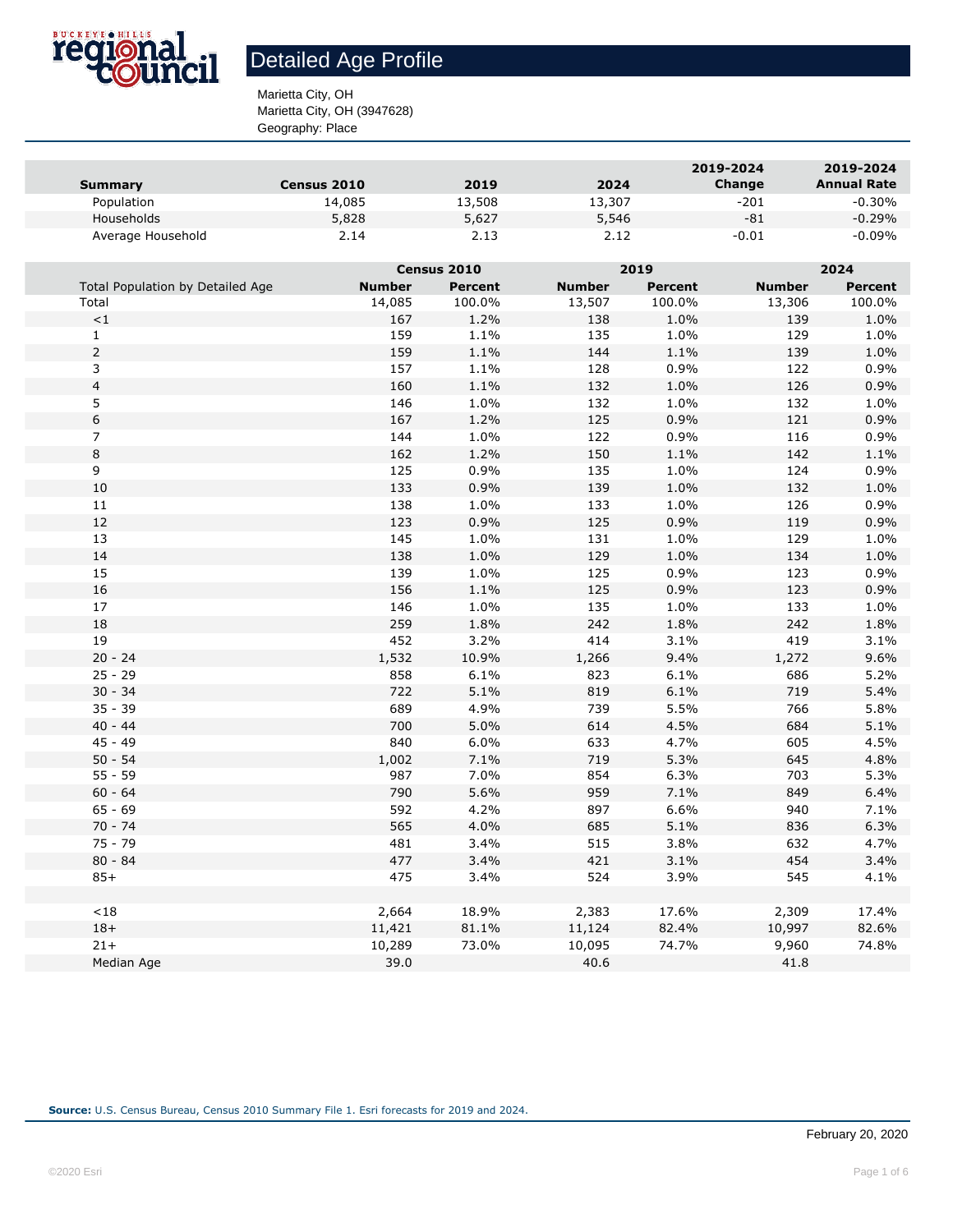

Marietta City, OH Marietta City, OH (3947628)

Geography: Place

|                   |                    |        |        | 2019-2024 | 2019-2024          |
|-------------------|--------------------|--------|--------|-----------|--------------------|
| Summary           | <b>Census 2010</b> | 2019   | 2024   | Change    | <b>Annual Rate</b> |
| Population        | 14,085             | 13,508 | 13,307 | $-201$    | $-0.30\%$          |
| Households        | 5,828              | 5,627  | 5,546  | -81       | $-0.29\%$          |
| Average Household | 2.14               | 2.13   | 2.12   | $-0.01$   | $-0.09\%$          |

|                                  | Census 2010   |                |               | 2019           |               | 2024           |  |
|----------------------------------|---------------|----------------|---------------|----------------|---------------|----------------|--|
| Total Population by Detailed Age | <b>Number</b> | <b>Percent</b> | <b>Number</b> | <b>Percent</b> | <b>Number</b> | <b>Percent</b> |  |
| Total                            | 14,085        | 100.0%         | 13,507        | 100.0%         | 13,306        | 100.0%         |  |
| $\!<\!1$                         | 167           | 1.2%           | 138           | 1.0%           | 139           | 1.0%           |  |
| $\mathbf{1}$                     | 159           | 1.1%           | 135           | 1.0%           | 129           | 1.0%           |  |
| $\overline{2}$                   | 159           | 1.1%           | 144           | 1.1%           | 139           | 1.0%           |  |
| 3                                | 157           | 1.1%           | 128           | 0.9%           | 122           | 0.9%           |  |
| 4                                | 160           | 1.1%           | 132           | 1.0%           | 126           | 0.9%           |  |
| 5                                | 146           | 1.0%           | 132           | 1.0%           | 132           | 1.0%           |  |
| 6                                | 167           | 1.2%           | 125           | 0.9%           | 121           | 0.9%           |  |
| 7                                | 144           | 1.0%           | 122           | 0.9%           | 116           | 0.9%           |  |
| 8                                | 162           | 1.2%           | 150           | 1.1%           | 142           | 1.1%           |  |
| 9                                | 125           | 0.9%           | 135           | 1.0%           | 124           | 0.9%           |  |
| $10\,$                           | 133           | 0.9%           | 139           | 1.0%           | 132           | 1.0%           |  |
| 11                               | 138           | 1.0%           | 133           | 1.0%           | 126           | 0.9%           |  |
| 12                               | 123           | 0.9%           | 125           | 0.9%           | 119           | 0.9%           |  |
| 13                               | 145           | 1.0%           | 131           | 1.0%           | 129           | 1.0%           |  |
| 14                               | 138           | 1.0%           | 129           | 1.0%           | 134           | 1.0%           |  |
| 15                               | 139           | 1.0%           | 125           | 0.9%           | 123           | 0.9%           |  |
| 16                               | 156           | 1.1%           | 125           | 0.9%           | 123           | 0.9%           |  |
| 17                               | 146           | 1.0%           | 135           | 1.0%           | 133           | 1.0%           |  |
| 18                               | 259           | 1.8%           | 242           | 1.8%           | 242           | 1.8%           |  |
| 19                               | 452           | 3.2%           | 414           | 3.1%           | 419           | 3.1%           |  |
| $20 - 24$                        | 1,532         | 10.9%          | 1,266         | 9.4%           | 1,272         | 9.6%           |  |
| $25 - 29$                        | 858           | 6.1%           | 823           | 6.1%           | 686           | 5.2%           |  |
| $30 - 34$                        | 722           | 5.1%           | 819           | 6.1%           | 719           | 5.4%           |  |
| $35 - 39$                        | 689           | 4.9%           | 739           | 5.5%           | 766           | 5.8%           |  |
| $40 - 44$                        | 700           | 5.0%           | 614           | 4.5%           | 684           | 5.1%           |  |
| $45 - 49$                        | 840           | 6.0%           | 633           | 4.7%           | 605           | 4.5%           |  |
| $50 - 54$                        | 1,002         | 7.1%           | 719           | 5.3%           | 645           | 4.8%           |  |
| $55 - 59$                        | 987           | 7.0%           | 854           | 6.3%           | 703           | 5.3%           |  |
| $60 - 64$                        | 790           | 5.6%           | 959           | 7.1%           | 849           | 6.4%           |  |
| $65 - 69$                        | 592           | 4.2%           | 897           | 6.6%           | 940           | 7.1%           |  |
| $70 - 74$                        | 565           | 4.0%           | 685           | 5.1%           | 836           | 6.3%           |  |
| $75 - 79$                        | 481           | 3.4%           | 515           | 3.8%           | 632           | 4.7%           |  |
| $80 - 84$                        | 477           | 3.4%           | 421           | 3.1%           | 454           | 3.4%           |  |
| $85+$                            | 475           | 3.4%           | 524           | 3.9%           | 545           | 4.1%           |  |
|                                  |               |                |               |                |               |                |  |
| $<\!18$                          | 2,664         | 18.9%          | 2,383         | 17.6%          | 2,309         | 17.4%          |  |
| $18+$                            | 11,421        | 81.1%          | 11,124        | 82.4%          | 10,997        | 82.6%          |  |
| $21 +$                           | 10,289        | 73.0%          | 10,095        | 74.7%          | 9,960         | 74.8%          |  |
| Median Age                       | 39.0          |                | 40.6          |                | 41.8          |                |  |
|                                  |               |                |               |                |               |                |  |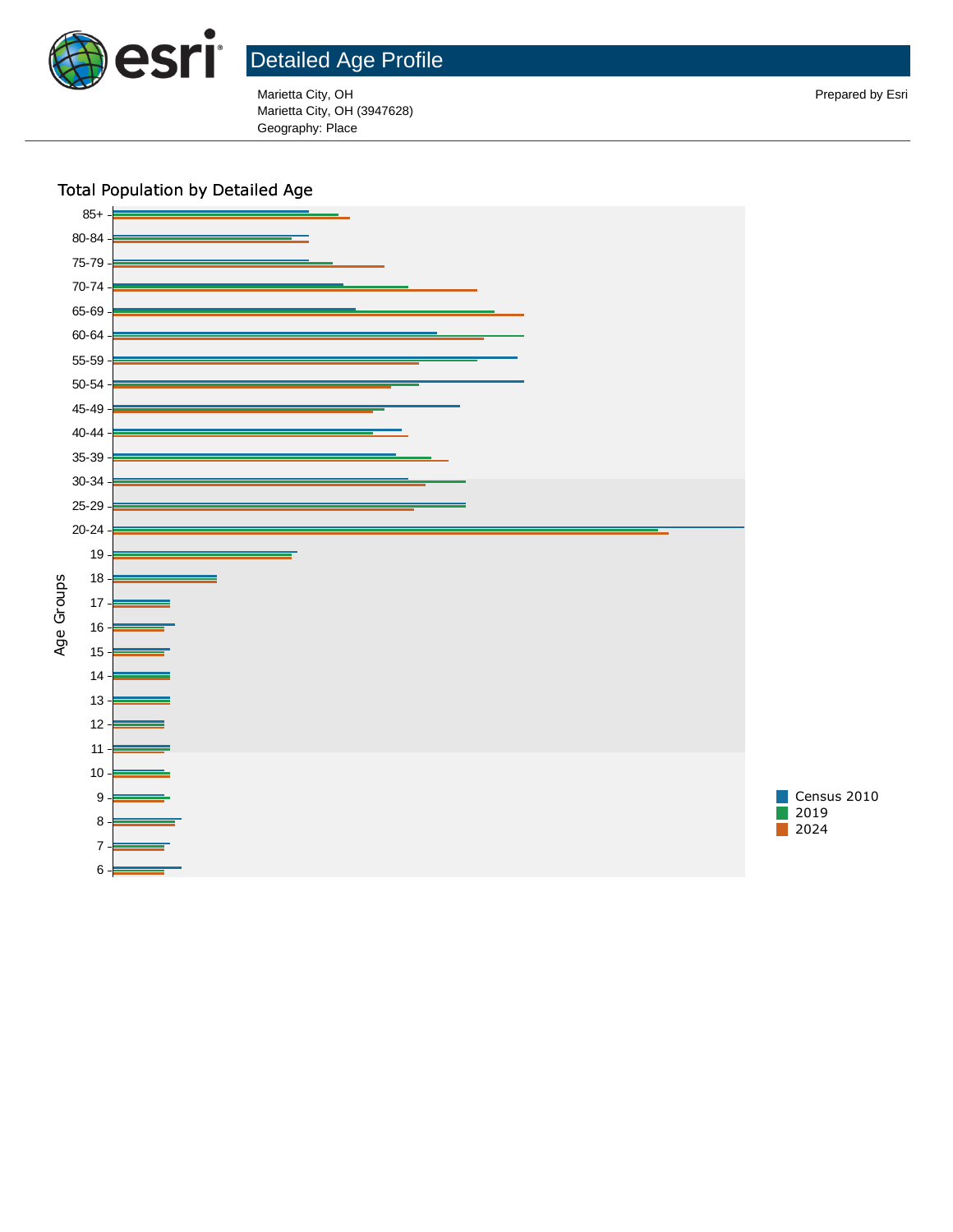

Marietta City, OH Prepared by Esri Marietta City, OH (3947628) Geography: Place

### Total Population by Detailed Age



February 20, 2020 2024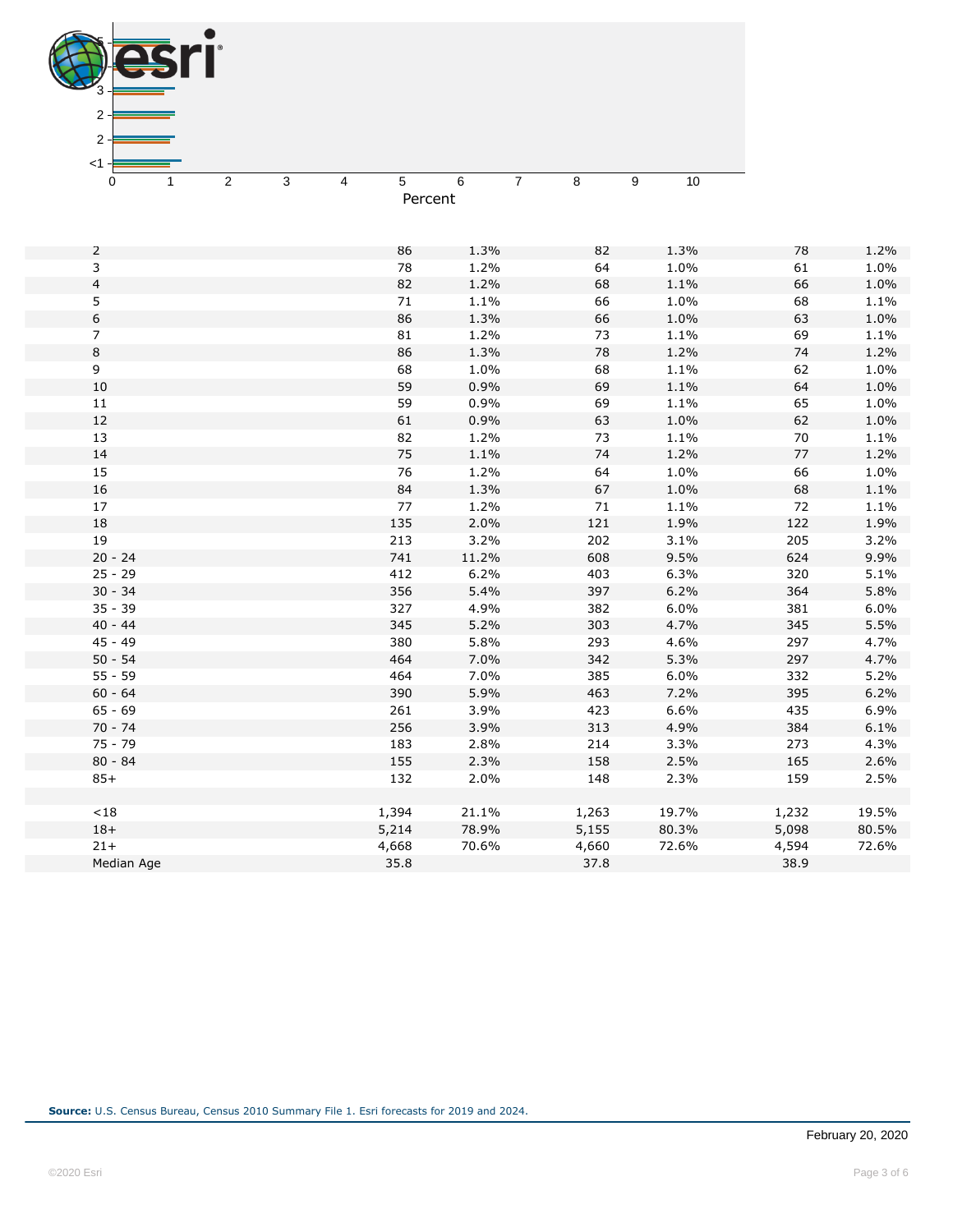| 3                      |                     |            |              |                     |              |            |
|------------------------|---------------------|------------|--------------|---------------------|--------------|------------|
| $2 \cdot$              |                     |            |              |                     |              |            |
| 2                      |                     |            |              |                     |              |            |
|                        |                     |            |              |                     |              |            |
| $<$ 1                  |                     |            |              |                     |              |            |
| 0<br>1                 | $\overline{c}$<br>3 | 5<br>4     | 6            | $\overline{7}$<br>8 | 9<br>$10$    |            |
|                        |                     |            | Percent      |                     |              |            |
|                        |                     |            |              |                     |              |            |
| 2                      |                     | 86         | 1.3%         | 82                  | 1.3%         | 78         |
| $\mathsf{3}$           |                     | 78         | 1.2%         | 64                  | 1.0%         | 61         |
| $\overline{4}$         |                     | 82         | 1.2%         | 68                  | 1.1%         | 66         |
| 5                      |                     | $71\,$     | 1.1%         | 66                  | 1.0%         | 68         |
| 6                      |                     | 86         | 1.3%         | 66                  | 1.0%         | 63         |
| $\overline{7}$         |                     | 81         | 1.2%         | 73                  | 1.1%         | 69         |
| 8                      |                     | 86         | 1.3%         | $78\,$              | 1.2%         | 74         |
| 9                      |                     | 68         | 1.0%         | 68                  | 1.1%         | 62         |
| $10\,$                 |                     | 59         | 0.9%         | 69                  | 1.1%         | 64         |
| $11\,$                 |                     | 59         | 0.9%         | 69                  | 1.1%         | 65         |
| 12                     |                     | 61         | 0.9%         | 63                  | 1.0%         | 62         |
| 13                     |                     | 82         | 1.2%         | 73                  | 1.1%         | 70         |
| 14                     |                     | 75         | 1.1%         | 74                  | 1.2%         | 77         |
| 15                     |                     | 76         | 1.2%         | 64                  | 1.0%         | 66         |
| 16                     |                     | 84         | 1.3%         | 67                  | 1.0%         | 68         |
| $17\,$                 |                     | $77$       | 1.2%         | 71                  | 1.1%         | 72         |
| 18                     |                     | 135        | 2.0%         | 121                 | 1.9%         | 122        |
| 19                     |                     | 213        | 3.2%         | 202                 | 3.1%         | 205        |
| $20 - 24$              |                     | 741        | 11.2%        | 608                 | 9.5%         | 624        |
| $25 - 29$<br>$30 - 34$ |                     | 412<br>356 | 6.2%<br>5.4% | 403<br>397          | 6.3%<br>6.2% | 320<br>364 |
| $35 - 39$              |                     | 327        | 4.9%         | 382                 | 6.0%         | 381        |
| $40 - 44$              |                     | 345        | 5.2%         | 303                 | 4.7%         | 345        |
| 45 - 49                |                     | 380        | 5.8%         | 293                 | 4.6%         | 297        |
| $50 - 54$              |                     | 464        | 7.0%         | 342                 | 5.3%         | 297        |
| $55 - 59$              |                     | 464        | 7.0%         | 385                 | 6.0%         | 332        |
| $60 - 64$              |                     | 390        | 5.9%         | 463                 | 7.2%         | 395        |
| $65 - 69$              |                     | 261        | 3.9%         | 423                 | 6.6%         | 435        |
| $70 - 74$              |                     | 256        | 3.9%         | 313                 | 4.9%         | 384        |
| $75 - 79$              |                     | 183        | 2.8%         | 214                 | 3.3%         | 273        |
| $80 - 84$              |                     | 155        | 2.3%         | 158                 | 2.5%         | 165        |
| $85+$                  |                     | 132        | 2.0%         | 148                 | 2.3%         | 159        |
| < 18                   |                     | 1,394      | 21.1%        | 1,263               | 19.7%        | 1,232      |
| $18+$                  |                     | 5,214      | 78.9%        | 5,155               | 80.3%        | 5,098      |
| $21+$                  |                     | 4,668      | 70.6%        | 4,660               | 72.6%        | 4,594      |
| Median Age             |                     | 35.8       |              | 37.8                |              | 38.9       |
|                        |                     |            |              |                     |              |            |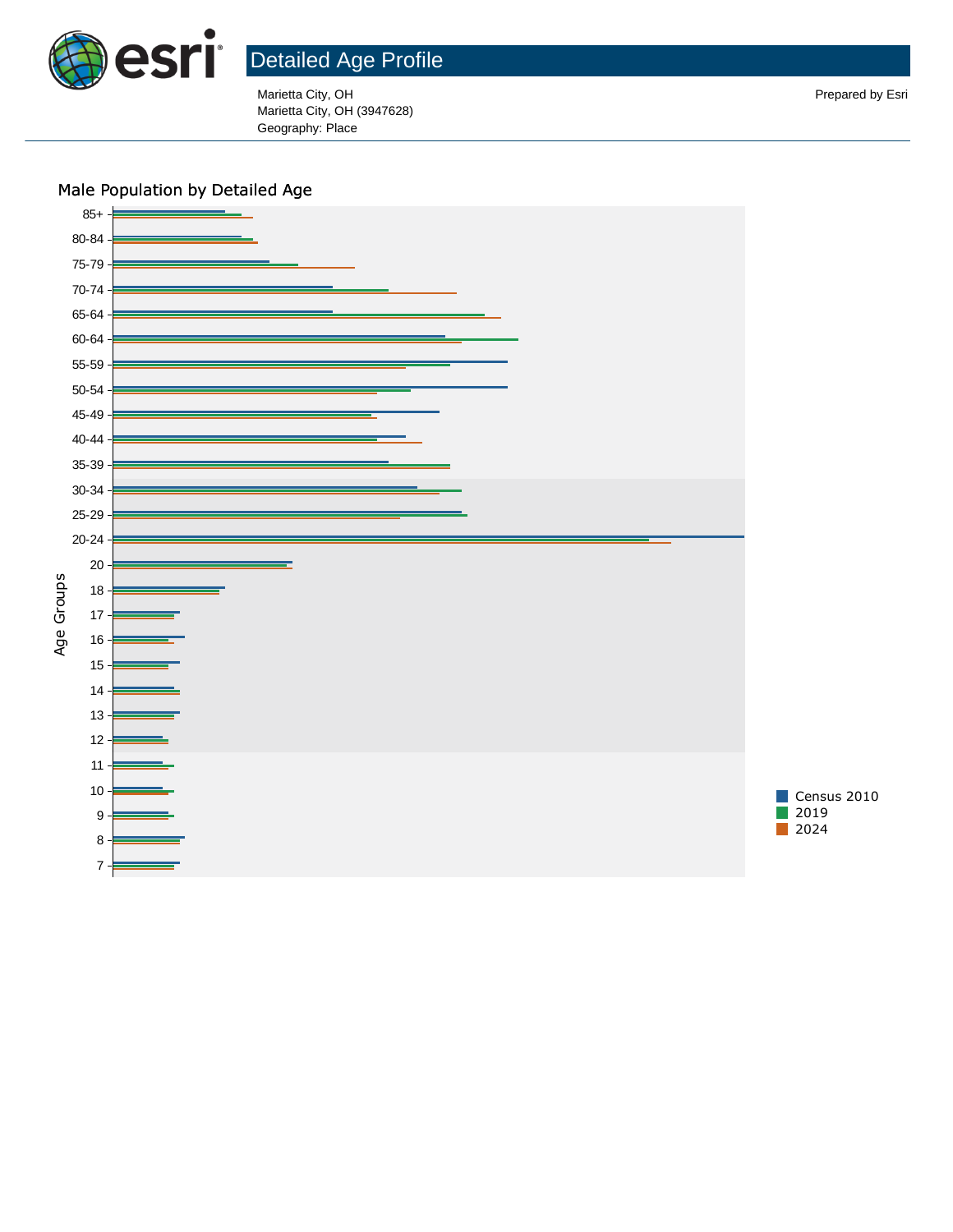

Marietta City, OH Prepared by Esri Marietta City, OH (3947628) Geography: Place

### Male Population by Detailed Age

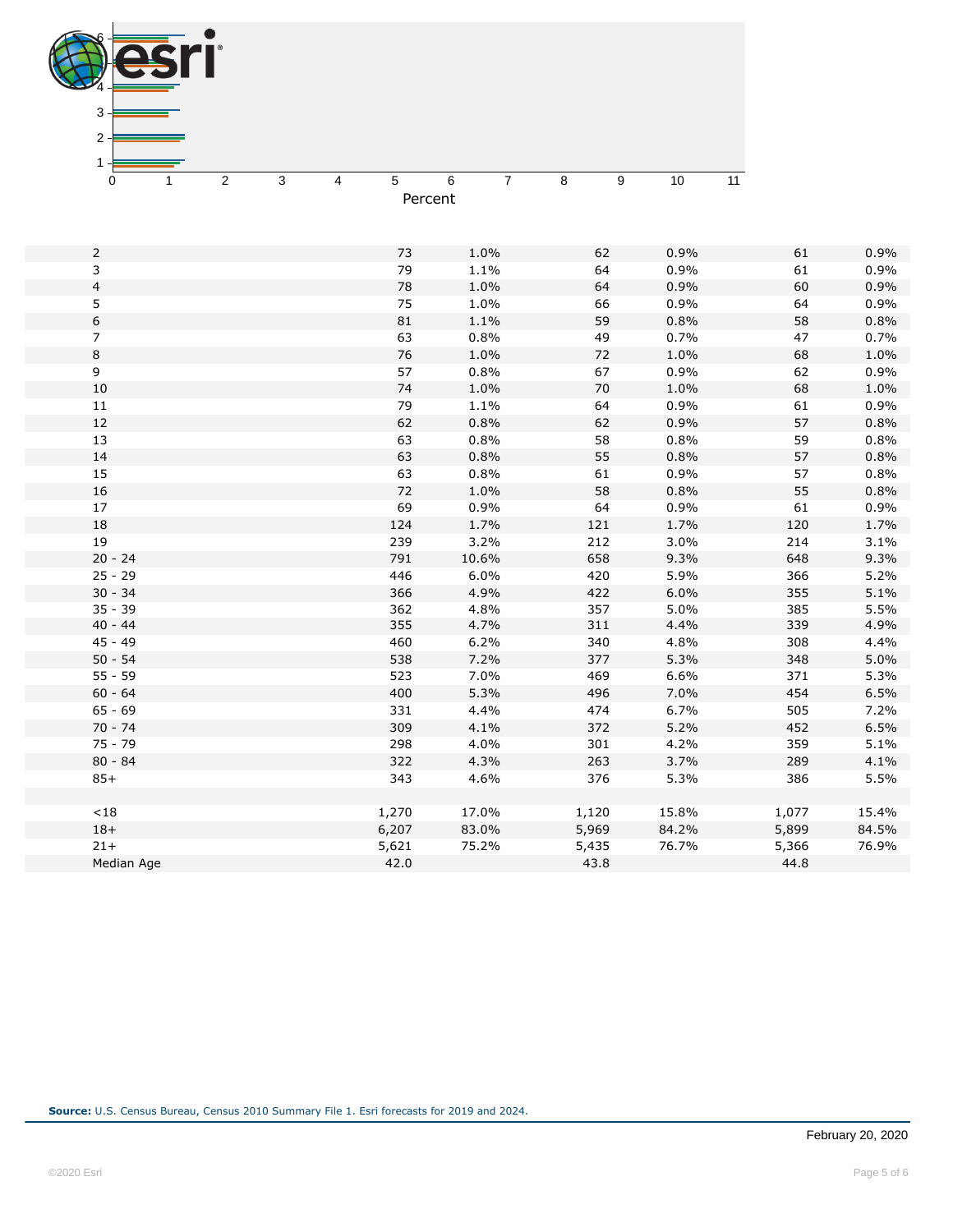

| $\overline{2}$ | 73    | 1.0%  | 62     | 0.9%  | 61    | 0.9%  |
|----------------|-------|-------|--------|-------|-------|-------|
| 3              | 79    | 1.1%  | 64     | 0.9%  | 61    | 0.9%  |
| $\overline{4}$ | 78    | 1.0%  | 64     | 0.9%  | 60    | 0.9%  |
| 5              | 75    | 1.0%  | 66     | 0.9%  | 64    | 0.9%  |
| 6              | 81    | 1.1%  | 59     | 0.8%  | 58    | 0.8%  |
| 7              | 63    | 0.8%  | 49     | 0.7%  | 47    | 0.7%  |
| 8              | 76    | 1.0%  | 72     | 1.0%  | 68    | 1.0%  |
| 9              | 57    | 0.8%  | 67     | 0.9%  | 62    | 0.9%  |
| 10             | 74    | 1.0%  | $70\,$ | 1.0%  | 68    | 1.0%  |
| 11             | 79    | 1.1%  | 64     | 0.9%  | 61    | 0.9%  |
| 12             | 62    | 0.8%  | 62     | 0.9%  | 57    | 0.8%  |
| 13             | 63    | 0.8%  | 58     | 0.8%  | 59    | 0.8%  |
| 14             | 63    | 0.8%  | 55     | 0.8%  | 57    | 0.8%  |
| 15             | 63    | 0.8%  | 61     | 0.9%  | 57    | 0.8%  |
| 16             | 72    | 1.0%  | 58     | 0.8%  | 55    | 0.8%  |
| 17             | 69    | 0.9%  | 64     | 0.9%  | 61    | 0.9%  |
| 18             | 124   | 1.7%  | 121    | 1.7%  | 120   | 1.7%  |
| 19             | 239   | 3.2%  | 212    | 3.0%  | 214   | 3.1%  |
| $20 - 24$      | 791   | 10.6% | 658    | 9.3%  | 648   | 9.3%  |
| $25 - 29$      | 446   | 6.0%  | 420    | 5.9%  | 366   | 5.2%  |
| $30 - 34$      | 366   | 4.9%  | 422    | 6.0%  | 355   | 5.1%  |
| $35 - 39$      | 362   | 4.8%  | 357    | 5.0%  | 385   | 5.5%  |
| $40 - 44$      | 355   | 4.7%  | 311    | 4.4%  | 339   | 4.9%  |
| $45 - 49$      | 460   | 6.2%  | 340    | 4.8%  | 308   | 4.4%  |
| $50 - 54$      | 538   | 7.2%  | 377    | 5.3%  | 348   | 5.0%  |
| $55 - 59$      | 523   | 7.0%  | 469    | 6.6%  | 371   | 5.3%  |
| $60 - 64$      | 400   | 5.3%  | 496    | 7.0%  | 454   | 6.5%  |
| $65 - 69$      | 331   | 4.4%  | 474    | 6.7%  | 505   | 7.2%  |
| $70 - 74$      | 309   | 4.1%  | 372    | 5.2%  | 452   | 6.5%  |
| $75 - 79$      | 298   | 4.0%  | 301    | 4.2%  | 359   | 5.1%  |
| $80 - 84$      | 322   | 4.3%  | 263    | 3.7%  | 289   | 4.1%  |
| $85+$          | 343   | 4.6%  | 376    | 5.3%  | 386   | 5.5%  |
|                |       |       |        |       |       |       |
| $<18$          | 1,270 | 17.0% | 1,120  | 15.8% | 1,077 | 15.4% |
| $18+$          | 6,207 | 83.0% | 5,969  | 84.2% | 5,899 | 84.5% |
| $21 +$         | 5,621 | 75.2% | 5,435  | 76.7% | 5,366 | 76.9% |
| Median Age     | 42.0  |       | 43.8   |       | 44.8  |       |
|                |       |       |        |       |       |       |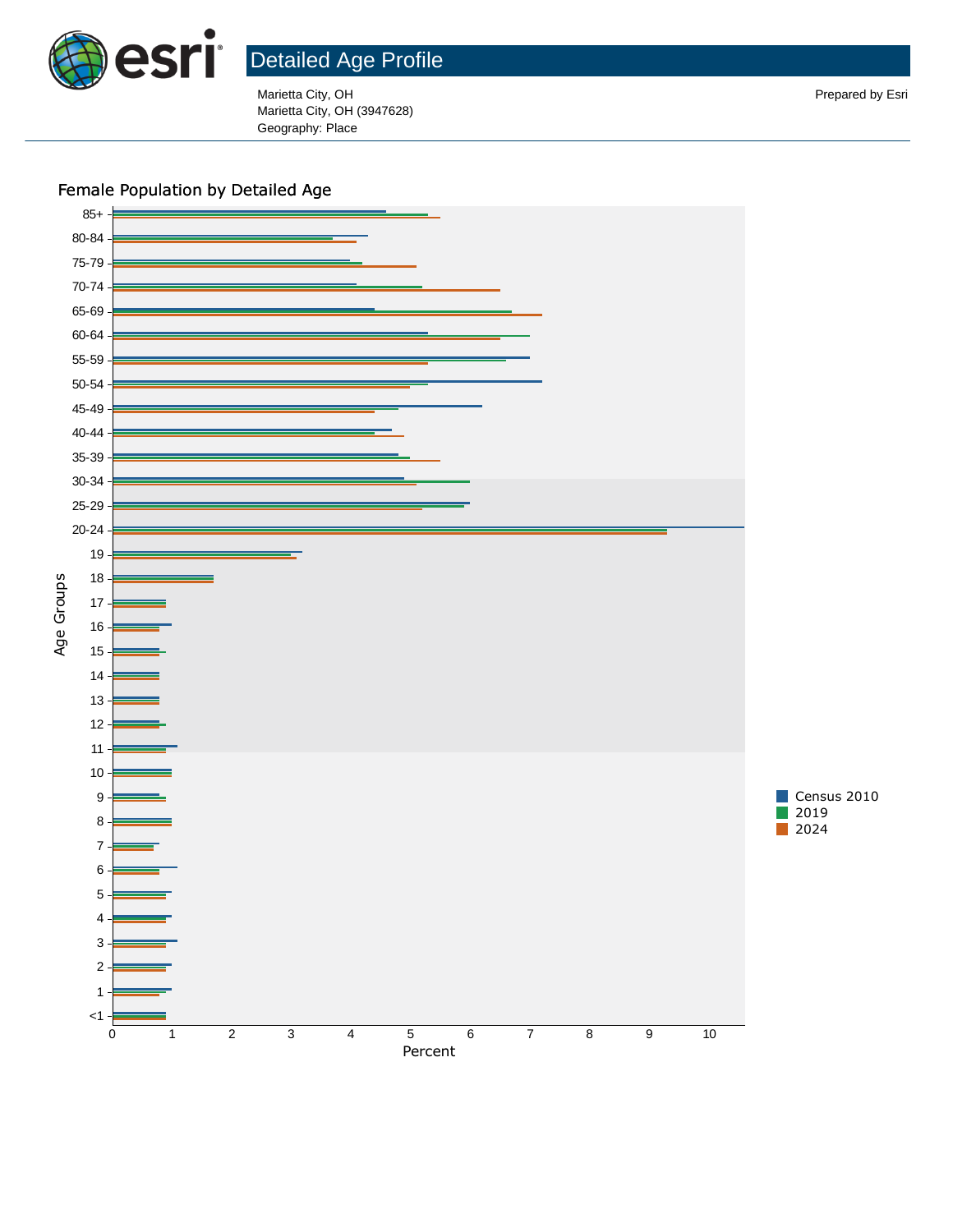

Marietta City, OH Prepared by Esri Marietta City, OH (3947628) Geography: Place

Female Population by Detailed Age